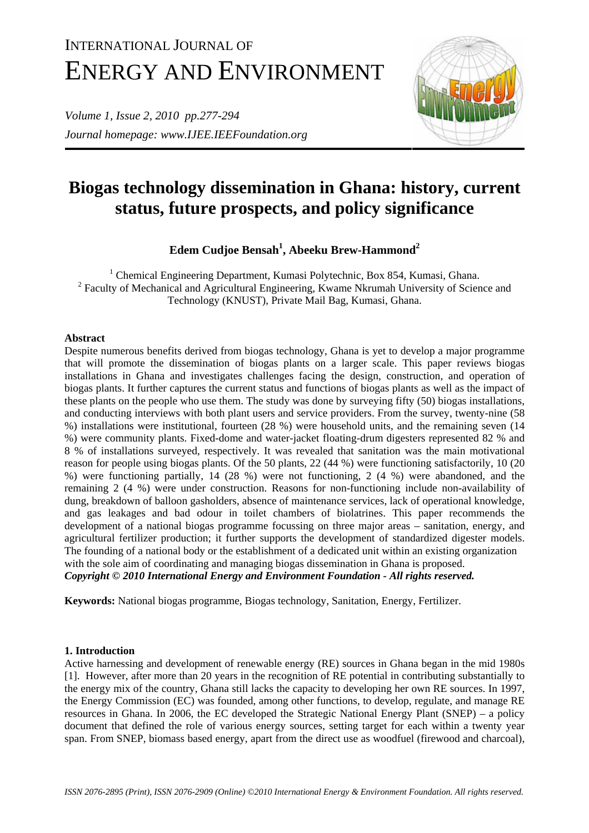# INTERNATIONAL JOURNAL OF ENERGY AND ENVIRONMENT

*Volume 1, Issue 2, 2010 pp.277-294 Journal homepage: www.IJEE.IEEFoundation.org* 



## **Biogas technology dissemination in Ghana: history, current status, future prospects, and policy significance**

### **Edem Cudjoe Bensah1 , Abeeku Brew-Hammond<sup>2</sup>**

<sup>1</sup> Chemical Engineering Department, Kumasi Polytechnic, Box 854, Kumasi, Ghana. <sup>2</sup> Faculty of Mechanical and Agricultural Engineering, Kwame Nkrumah University of Science and Technology (KNUST), Private Mail Bag, Kumasi, Ghana.

#### **Abstract**

Despite numerous benefits derived from biogas technology, Ghana is yet to develop a major programme that will promote the dissemination of biogas plants on a larger scale. This paper reviews biogas installations in Ghana and investigates challenges facing the design, construction, and operation of biogas plants. It further captures the current status and functions of biogas plants as well as the impact of these plants on the people who use them. The study was done by surveying fifty (50) biogas installations, and conducting interviews with both plant users and service providers. From the survey, twenty-nine (58 %) installations were institutional, fourteen (28 %) were household units, and the remaining seven (14 %) were community plants. Fixed-dome and water-jacket floating-drum digesters represented 82 % and 8 % of installations surveyed, respectively. It was revealed that sanitation was the main motivational reason for people using biogas plants. Of the 50 plants, 22 (44 %) were functioning satisfactorily, 10 (20 %) were functioning partially, 14 (28 %) were not functioning, 2 (4 %) were abandoned, and the remaining 2 (4 %) were under construction. Reasons for non-functioning include non-availability of dung, breakdown of balloon gasholders, absence of maintenance services, lack of operational knowledge, and gas leakages and bad odour in toilet chambers of biolatrines. This paper recommends the development of a national biogas programme focussing on three major areas – sanitation, energy, and agricultural fertilizer production; it further supports the development of standardized digester models. The founding of a national body or the establishment of a dedicated unit within an existing organization with the sole aim of coordinating and managing biogas dissemination in Ghana is proposed. *Copyright © 2010 International Energy and Environment Foundation - All rights reserved.*

**Keywords:** National biogas programme, Biogas technology, Sanitation, Energy, Fertilizer.

#### **1. Introduction**

Active harnessing and development of renewable energy (RE) sources in Ghana began in the mid 1980s [1]. However, after more than 20 years in the recognition of RE potential in contributing substantially to the energy mix of the country, Ghana still lacks the capacity to developing her own RE sources. In 1997, the Energy Commission (EC) was founded, among other functions, to develop, regulate, and manage RE resources in Ghana. In 2006, the EC developed the Strategic National Energy Plant (SNEP) – a policy document that defined the role of various energy sources, setting target for each within a twenty year span. From SNEP, biomass based energy, apart from the direct use as woodfuel (firewood and charcoal),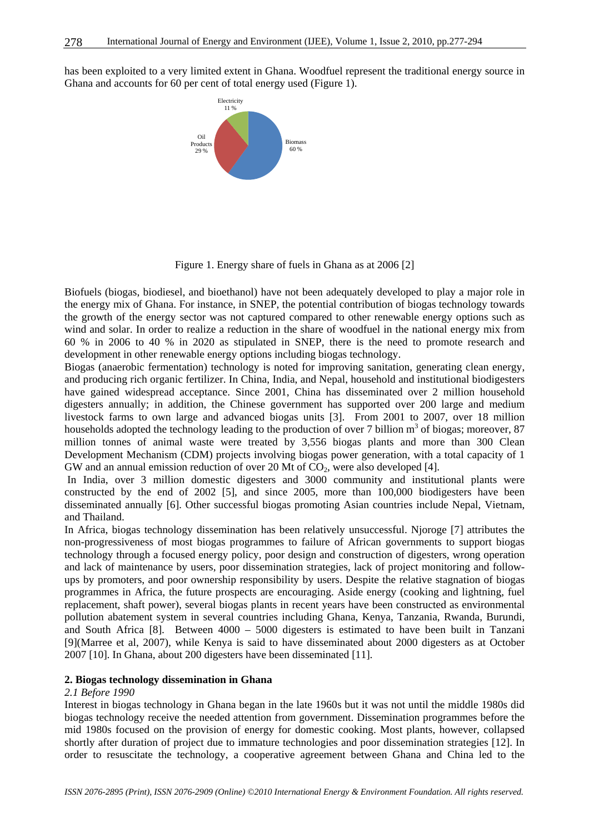has been exploited to a very limited extent in Ghana. Woodfuel represent the traditional energy source in Ghana and accounts for 60 per cent of total energy used (Figure 1).



Figure 1. Energy share of fuels in Ghana as at 2006 [2]

Biofuels (biogas, biodiesel, and bioethanol) have not been adequately developed to play a major role in the energy mix of Ghana. For instance, in SNEP, the potential contribution of biogas technology towards the growth of the energy sector was not captured compared to other renewable energy options such as wind and solar. In order to realize a reduction in the share of woodfuel in the national energy mix from 60 % in 2006 to 40 % in 2020 as stipulated in SNEP, there is the need to promote research and development in other renewable energy options including biogas technology.

Biogas (anaerobic fermentation) technology is noted for improving sanitation, generating clean energy, and producing rich organic fertilizer. In China, India, and Nepal, household and institutional biodigesters have gained widespread acceptance. Since 2001, China has disseminated over 2 million household digesters annually; in addition, the Chinese government has supported over 200 large and medium livestock farms to own large and advanced biogas units [3]. From 2001 to 2007, over 18 million households adopted the technology leading to the production of over 7 billion  $m<sup>3</sup>$  of biogas; moreover, 87 million tonnes of animal waste were treated by 3,556 biogas plants and more than 300 Clean Development Mechanism (CDM) projects involving biogas power generation, with a total capacity of 1 GW and an annual emission reduction of over 20 Mt of  $CO<sub>2</sub>$ , were also developed [4].

 In India, over 3 million domestic digesters and 3000 community and institutional plants were constructed by the end of 2002 [5], and since 2005, more than 100,000 biodigesters have been disseminated annually [6]. Other successful biogas promoting Asian countries include Nepal, Vietnam, and Thailand.

In Africa, biogas technology dissemination has been relatively unsuccessful. Njoroge [7] attributes the non-progressiveness of most biogas programmes to failure of African governments to support biogas technology through a focused energy policy, poor design and construction of digesters, wrong operation and lack of maintenance by users, poor dissemination strategies, lack of project monitoring and followups by promoters, and poor ownership responsibility by users. Despite the relative stagnation of biogas programmes in Africa, the future prospects are encouraging. Aside energy (cooking and lightning, fuel replacement, shaft power), several biogas plants in recent years have been constructed as environmental pollution abatement system in several countries including Ghana, Kenya, Tanzania, Rwanda, Burundi, and South Africa [8]. Between 4000 – 5000 digesters is estimated to have been built in Tanzani [9](Marree et al, 2007), while Kenya is said to have disseminated about 2000 digesters as at October 2007 [10]. In Ghana, about 200 digesters have been disseminated [11].

#### **2. Biogas technology dissemination in Ghana**

#### *2.1 Before 1990*

Interest in biogas technology in Ghana began in the late 1960s but it was not until the middle 1980s did biogas technology receive the needed attention from government. Dissemination programmes before the mid 1980s focused on the provision of energy for domestic cooking. Most plants, however, collapsed shortly after duration of project due to immature technologies and poor dissemination strategies [12]. In order to resuscitate the technology, a cooperative agreement between Ghana and China led to the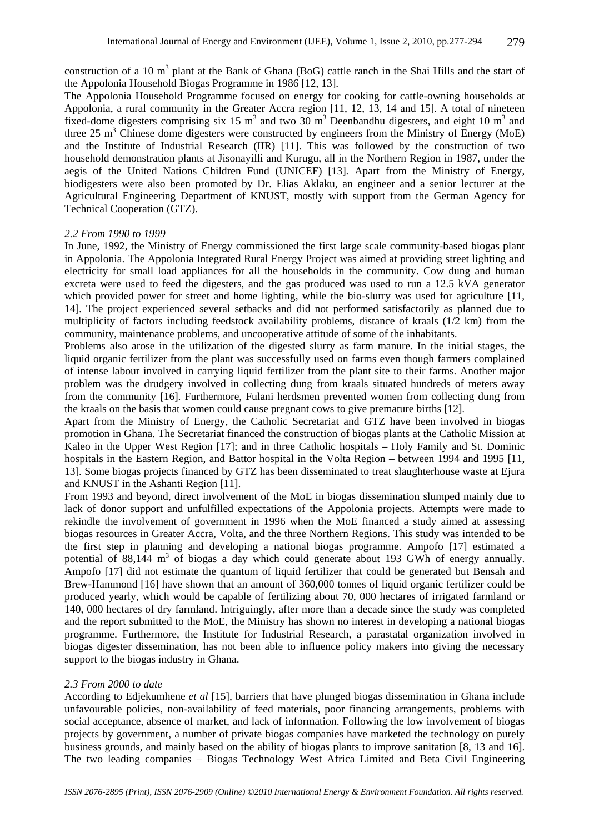construction of a 10  $m<sup>3</sup>$  plant at the Bank of Ghana (BoG) cattle ranch in the Shai Hills and the start of the Appolonia Household Biogas Programme in 1986 [12, 13].

The Appolonia Household Programme focused on energy for cooking for cattle-owning households at Appolonia, a rural community in the Greater Accra region [11, 12, 13, 14 and 15]. A total of nineteen fixed-dome digesters comprising six 15  $m<sup>3</sup>$  and two 30  $m<sup>3</sup>$  Deenbandhu digesters, and eight 10  $m<sup>3</sup>$  and three 25  $m<sup>3</sup>$  Chinese dome digesters were constructed by engineers from the Ministry of Energy (MoE) and the Institute of Industrial Research (IIR) [11]. This was followed by the construction of two household demonstration plants at Jisonayilli and Kurugu, all in the Northern Region in 1987, under the aegis of the United Nations Children Fund (UNICEF) [13]. Apart from the Ministry of Energy, biodigesters were also been promoted by Dr. Elias Aklaku, an engineer and a senior lecturer at the Agricultural Engineering Department of KNUST, mostly with support from the German Agency for Technical Cooperation (GTZ).

#### *2.2 From 1990 to 1999*

In June, 1992, the Ministry of Energy commissioned the first large scale community-based biogas plant in Appolonia. The Appolonia Integrated Rural Energy Project was aimed at providing street lighting and electricity for small load appliances for all the households in the community. Cow dung and human excreta were used to feed the digesters, and the gas produced was used to run a 12.5 kVA generator which provided power for street and home lighting, while the bio-slurry was used for agriculture [11, 14]. The project experienced several setbacks and did not performed satisfactorily as planned due to multiplicity of factors including feedstock availability problems, distance of kraals (1/2 km) from the community, maintenance problems, and uncooperative attitude of some of the inhabitants.

Problems also arose in the utilization of the digested slurry as farm manure. In the initial stages, the liquid organic fertilizer from the plant was successfully used on farms even though farmers complained of intense labour involved in carrying liquid fertilizer from the plant site to their farms. Another major problem was the drudgery involved in collecting dung from kraals situated hundreds of meters away from the community [16]. Furthermore, Fulani herdsmen prevented women from collecting dung from the kraals on the basis that women could cause pregnant cows to give premature births [12].

Apart from the Ministry of Energy, the Catholic Secretariat and GTZ have been involved in biogas promotion in Ghana. The Secretariat financed the construction of biogas plants at the Catholic Mission at Kaleo in the Upper West Region [17]; and in three Catholic hospitals – Holy Family and St. Dominic hospitals in the Eastern Region, and Battor hospital in the Volta Region – between 1994 and 1995 [11, 13]. Some biogas projects financed by GTZ has been disseminated to treat slaughterhouse waste at Ejura and KNUST in the Ashanti Region [11].

From 1993 and beyond, direct involvement of the MoE in biogas dissemination slumped mainly due to lack of donor support and unfulfilled expectations of the Appolonia projects. Attempts were made to rekindle the involvement of government in 1996 when the MoE financed a study aimed at assessing biogas resources in Greater Accra, Volta, and the three Northern Regions. This study was intended to be the first step in planning and developing a national biogas programme. Ampofo [17] estimated a potential of  $88,144$  m<sup>3</sup> of biogas a day which could generate about 193 GWh of energy annually. Ampofo [17] did not estimate the quantum of liquid fertilizer that could be generated but Bensah and Brew-Hammond [16] have shown that an amount of 360,000 tonnes of liquid organic fertilizer could be produced yearly, which would be capable of fertilizing about 70, 000 hectares of irrigated farmland or 140, 000 hectares of dry farmland. Intriguingly, after more than a decade since the study was completed and the report submitted to the MoE, the Ministry has shown no interest in developing a national biogas programme. Furthermore, the Institute for Industrial Research, a parastatal organization involved in biogas digester dissemination, has not been able to influence policy makers into giving the necessary support to the biogas industry in Ghana.

#### *2.3 From 2000 to date*

According to Edjekumhene *et al* [15], barriers that have plunged biogas dissemination in Ghana include unfavourable policies, non-availability of feed materials, poor financing arrangements, problems with social acceptance, absence of market, and lack of information. Following the low involvement of biogas projects by government, a number of private biogas companies have marketed the technology on purely business grounds, and mainly based on the ability of biogas plants to improve sanitation [8, 13 and 16]. The two leading companies – Biogas Technology West Africa Limited and Beta Civil Engineering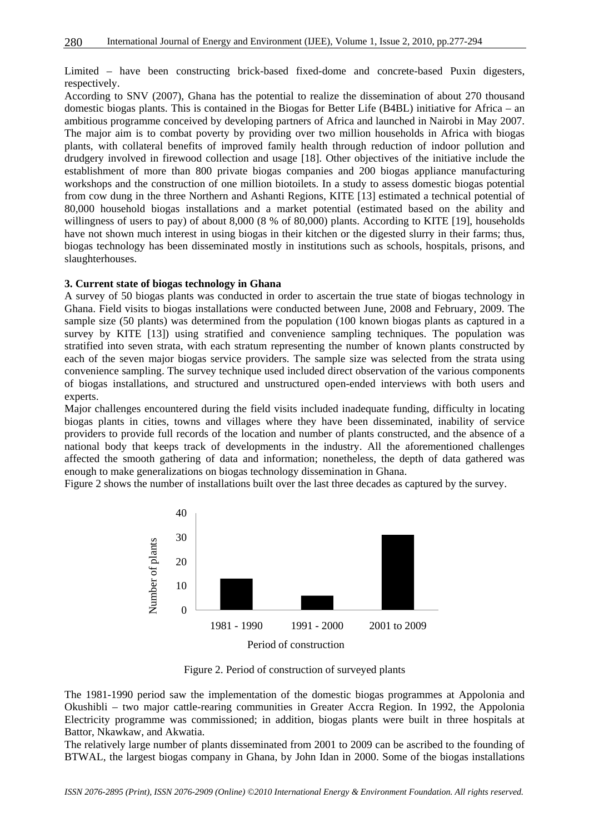Limited – have been constructing brick-based fixed-dome and concrete-based Puxin digesters, respectively.

According to SNV (2007), Ghana has the potential to realize the dissemination of about 270 thousand domestic biogas plants. This is contained in the Biogas for Better Life (B4BL) initiative for Africa – an ambitious programme conceived by developing partners of Africa and launched in Nairobi in May 2007. The major aim is to combat poverty by providing over two million households in Africa with biogas plants, with collateral benefits of improved family health through reduction of indoor pollution and drudgery involved in firewood collection and usage [18]. Other objectives of the initiative include the establishment of more than 800 private biogas companies and 200 biogas appliance manufacturing workshops and the construction of one million biotoilets. In a study to assess domestic biogas potential from cow dung in the three Northern and Ashanti Regions, KITE [13] estimated a technical potential of 80,000 household biogas installations and a market potential (estimated based on the ability and willingness of users to pay) of about 8,000 (8 % of 80,000) plants. According to KITE [19], households have not shown much interest in using biogas in their kitchen or the digested slurry in their farms; thus, biogas technology has been disseminated mostly in institutions such as schools, hospitals, prisons, and slaughterhouses.

#### **3. Current state of biogas technology in Ghana**

A survey of 50 biogas plants was conducted in order to ascertain the true state of biogas technology in Ghana. Field visits to biogas installations were conducted between June, 2008 and February, 2009. The sample size (50 plants) was determined from the population (100 known biogas plants as captured in a survey by KITE [13]) using stratified and convenience sampling techniques. The population was stratified into seven strata, with each stratum representing the number of known plants constructed by each of the seven major biogas service providers. The sample size was selected from the strata using convenience sampling. The survey technique used included direct observation of the various components of biogas installations, and structured and unstructured open-ended interviews with both users and experts.

Major challenges encountered during the field visits included inadequate funding, difficulty in locating biogas plants in cities, towns and villages where they have been disseminated, inability of service providers to provide full records of the location and number of plants constructed, and the absence of a national body that keeps track of developments in the industry. All the aforementioned challenges affected the smooth gathering of data and information; nonetheless, the depth of data gathered was enough to make generalizations on biogas technology dissemination in Ghana.

Figure 2 shows the number of installations built over the last three decades as captured by the survey.



Figure 2. Period of construction of surveyed plants

The 1981-1990 period saw the implementation of the domestic biogas programmes at Appolonia and Okushibli – two major cattle-rearing communities in Greater Accra Region. In 1992, the Appolonia Electricity programme was commissioned; in addition, biogas plants were built in three hospitals at Battor, Nkawkaw, and Akwatia.

The relatively large number of plants disseminated from 2001 to 2009 can be ascribed to the founding of BTWAL, the largest biogas company in Ghana, by John Idan in 2000. Some of the biogas installations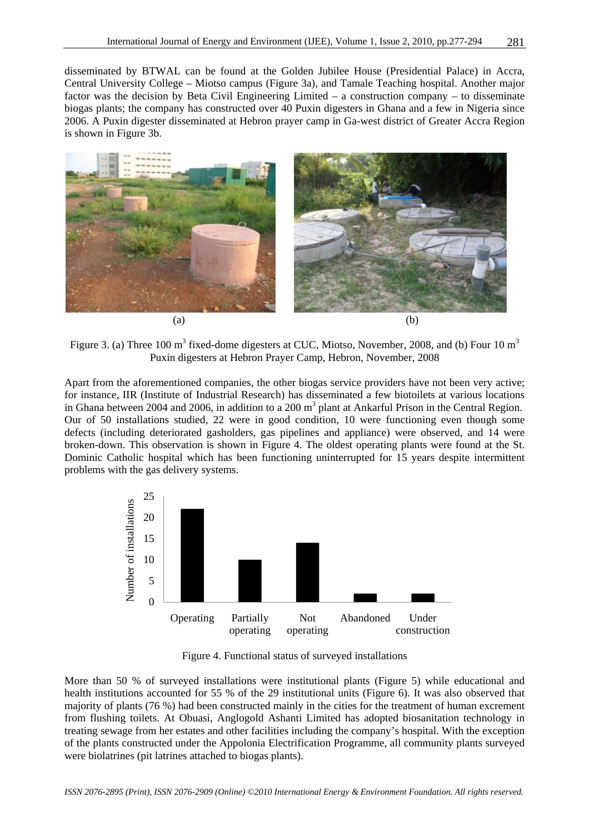disseminated by BTWAL can be found at the Golden Jubilee House (Presidential Palace) in Accra, Central University College – Miotso campus (Figure 3a), and Tamale Teaching hospital. Another major factor was the decision by Beta Civil Engineering Limited – a construction company – to disseminate biogas plants; the company has constructed over 40 Puxin digesters in Ghana and a few in Nigeria since 2006. A Puxin digester disseminated at Hebron prayer camp in Ga-west district of Greater Accra Region is shown in Figure 3b.



Figure 3. (a) Three 100 m<sup>3</sup> fixed-dome digesters at CUC, Miotso, November, 2008, and (b) Four 10 m<sup>3</sup> Puxin digesters at Hebron Prayer Camp, Hebron, November, 2008

Apart from the aforementioned companies, the other biogas service providers have not been very active; for instance, IIR (Institute of Industrial Research) has disseminated a few biotoilets at various locations in Ghana between 2004 and 2006, in addition to a  $200 \text{ m}^3$  plant at Ankarful Prison in the Central Region. Our of 50 installations studied, 22 were in good condition, 10 were functioning even though some defects (including deteriorated gasholders, gas pipelines and appliance) were observed, and 14 were broken-down. This observation is shown in Figure 4. The oldest operating plants were found at the St. Dominic Catholic hospital which has been functioning uninterrupted for 15 years despite intermittent problems with the gas delivery systems.



Figure 4. Functional status of surveyed installations

More than 50 % of surveyed installations were institutional plants (Figure 5) while educational and health institutions accounted for 55 % of the 29 institutional units (Figure 6). It was also observed that majority of plants (76 %) had been constructed mainly in the cities for the treatment of human excrement from flushing toilets. At Obuasi, Anglogold Ashanti Limited has adopted biosanitation technology in treating sewage from her estates and other facilities including the company's hospital. With the exception of the plants constructed under the Appolonia Electrification Programme, all community plants surveyed were biolatrines (pit latrines attached to biogas plants).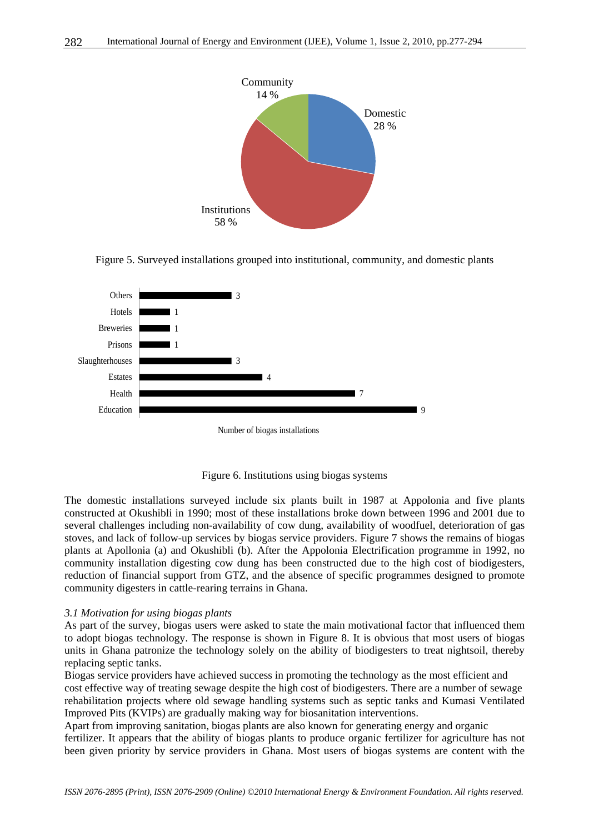

Figure 5. Surveyed installations grouped into institutional, community, and domestic plants



Figure 6. Institutions using biogas systems

The domestic installations surveyed include six plants built in 1987 at Appolonia and five plants constructed at Okushibli in 1990; most of these installations broke down between 1996 and 2001 due to several challenges including non-availability of cow dung, availability of woodfuel, deterioration of gas stoves, and lack of follow-up services by biogas service providers. Figure 7 shows the remains of biogas plants at Apollonia (a) and Okushibli (b). After the Appolonia Electrification programme in 1992, no community installation digesting cow dung has been constructed due to the high cost of biodigesters, reduction of financial support from GTZ, and the absence of specific programmes designed to promote community digesters in cattle-rearing terrains in Ghana.

#### *3.1 Motivation for using biogas plants*

As part of the survey, biogas users were asked to state the main motivational factor that influenced them to adopt biogas technology. The response is shown in Figure 8. It is obvious that most users of biogas units in Ghana patronize the technology solely on the ability of biodigesters to treat nightsoil, thereby replacing septic tanks.

Biogas service providers have achieved success in promoting the technology as the most efficient and cost effective way of treating sewage despite the high cost of biodigesters. There are a number of sewage rehabilitation projects where old sewage handling systems such as septic tanks and Kumasi Ventilated Improved Pits (KVIPs) are gradually making way for biosanitation interventions.

Apart from improving sanitation, biogas plants are also known for generating energy and organic fertilizer. It appears that the ability of biogas plants to produce organic fertilizer for agriculture has not been given priority by service providers in Ghana. Most users of biogas systems are content with the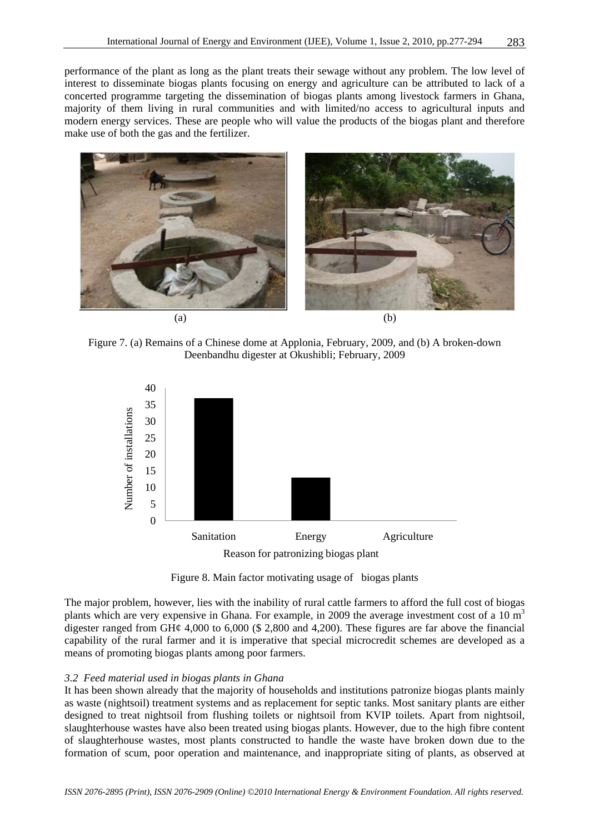performance of the plant as long as the plant treats their sewage without any problem. The low level of interest to disseminate biogas plants focusing on energy and agriculture can be attributed to lack of a concerted programme targeting the dissemination of biogas plants among livestock farmers in Ghana, majority of them living in rural communities and with limited/no access to agricultural inputs and modern energy services. These are people who will value the products of the biogas plant and therefore make use of both the gas and the fertilizer.



Figure 7. (a) Remains of a Chinese dome at Applonia, February, 2009, and (b) A broken-down Deenbandhu digester at Okushibli; February, 2009



Figure 8. Main factor motivating usage of biogas plants

The major problem, however, lies with the inability of rural cattle farmers to afford the full cost of biogas plants which are very expensive in Ghana. For example, in 2009 the average investment cost of a 10  $m<sup>3</sup>$ digester ranged from GH $\varphi$  4,000 to 6,000 (\$ 2,800 and 4,200). These figures are far above the financial capability of the rural farmer and it is imperative that special microcredit schemes are developed as a means of promoting biogas plants among poor farmers.

#### *3.2 Feed material used in biogas plants in Ghana*

It has been shown already that the majority of households and institutions patronize biogas plants mainly as waste (nightsoil) treatment systems and as replacement for septic tanks. Most sanitary plants are either designed to treat nightsoil from flushing toilets or nightsoil from KVIP toilets. Apart from nightsoil, slaughterhouse wastes have also been treated using biogas plants. However, due to the high fibre content of slaughterhouse wastes, most plants constructed to handle the waste have broken down due to the formation of scum, poor operation and maintenance, and inappropriate siting of plants, as observed at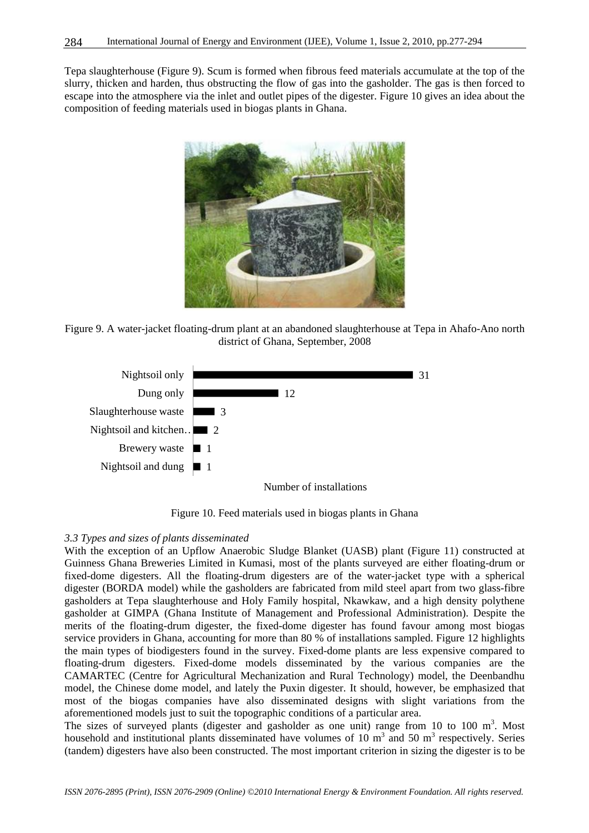Tepa slaughterhouse (Figure 9). Scum is formed when fibrous feed materials accumulate at the top of the slurry, thicken and harden, thus obstructing the flow of gas into the gasholder. The gas is then forced to escape into the atmosphere via the inlet and outlet pipes of the digester. Figure 10 gives an idea about the composition of feeding materials used in biogas plants in Ghana.



Figure 9. A water-jacket floating-drum plant at an abandoned slaughterhouse at Tepa in Ahafo-Ano north district of Ghana, September, 2008



Figure 10. Feed materials used in biogas plants in Ghana

#### *3.3 Types and sizes of plants disseminated*

With the exception of an Upflow Anaerobic Sludge Blanket (UASB) plant (Figure 11) constructed at Guinness Ghana Breweries Limited in Kumasi, most of the plants surveyed are either floating-drum or fixed-dome digesters. All the floating-drum digesters are of the water-jacket type with a spherical digester (BORDA model) while the gasholders are fabricated from mild steel apart from two glass-fibre gasholders at Tepa slaughterhouse and Holy Family hospital, Nkawkaw, and a high density polythene gasholder at GIMPA (Ghana Institute of Management and Professional Administration). Despite the merits of the floating-drum digester, the fixed-dome digester has found favour among most biogas service providers in Ghana, accounting for more than 80 % of installations sampled. Figure 12 highlights the main types of biodigesters found in the survey. Fixed-dome plants are less expensive compared to floating-drum digesters. Fixed-dome models disseminated by the various companies are the CAMARTEC (Centre for Agricultural Mechanization and Rural Technology) model, the Deenbandhu model, the Chinese dome model, and lately the Puxin digester. It should, however, be emphasized that most of the biogas companies have also disseminated designs with slight variations from the aforementioned models just to suit the topographic conditions of a particular area.

The sizes of surveyed plants (digester and gasholder as one unit) range from 10 to 100  $m<sup>3</sup>$ . Most household and institutional plants disseminated have volumes of 10  $m<sup>3</sup>$  and 50  $m<sup>3</sup>$  respectively. Series (tandem) digesters have also been constructed. The most important criterion in sizing the digester is to be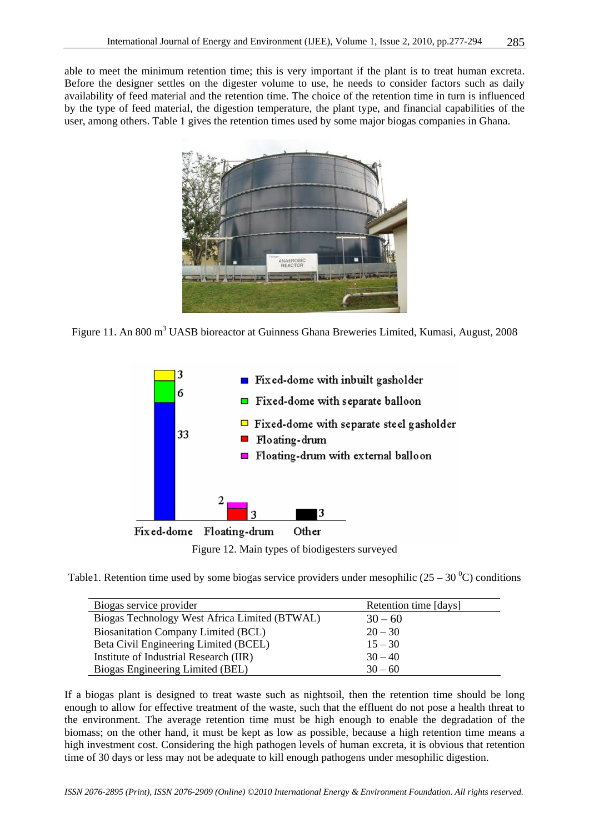able to meet the minimum retention time; this is very important if the plant is to treat human excreta. Before the designer settles on the digester volume to use, he needs to consider factors such as daily availability of feed material and the retention time. The choice of the retention time in turn is influenced by the type of feed material, the digestion temperature, the plant type, and financial capabilities of the user, among others. Table 1 gives the retention times used by some major biogas companies in Ghana.



Figure 11. An 800 m<sup>3</sup> UASB bioreactor at Guinness Ghana Breweries Limited, Kumasi, August, 2008



Figure 12. Main types of biodigesters surveyed

Table1. Retention time used by some biogas service providers under mesophilic  $(25 - 30<sup>o</sup>C)$  conditions

| Biogas service provider                       | Retention time [days] |
|-----------------------------------------------|-----------------------|
| Biogas Technology West Africa Limited (BTWAL) | $30 - 60$             |
| <b>Biosanitation Company Limited (BCL)</b>    | $20 - 30$             |
| Beta Civil Engineering Limited (BCEL)         | $15 - 30$             |
| Institute of Industrial Research (IIR)        | $30 - 40$             |
| Biogas Engineering Limited (BEL)              | $30 - 60$             |

If a biogas plant is designed to treat waste such as nightsoil, then the retention time should be long enough to allow for effective treatment of the waste, such that the effluent do not pose a health threat to the environment. The average retention time must be high enough to enable the degradation of the biomass; on the other hand, it must be kept as low as possible, because a high retention time means a high investment cost. Considering the high pathogen levels of human excreta, it is obvious that retention time of 30 days or less may not be adequate to kill enough pathogens under mesophilic digestion.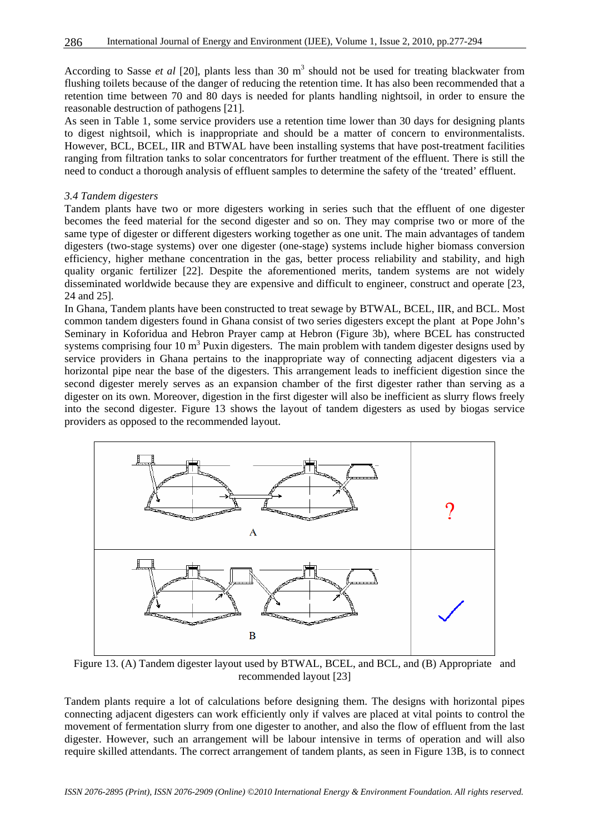According to Sasse *et al* [20], plants less than 30 m<sup>3</sup> should not be used for treating blackwater from flushing toilets because of the danger of reducing the retention time. It has also been recommended that a retention time between 70 and 80 days is needed for plants handling nightsoil, in order to ensure the reasonable destruction of pathogens [21].

As seen in Table 1, some service providers use a retention time lower than 30 days for designing plants to digest nightsoil, which is inappropriate and should be a matter of concern to environmentalists. However, BCL, BCEL, IIR and BTWAL have been installing systems that have post-treatment facilities ranging from filtration tanks to solar concentrators for further treatment of the effluent. There is still the need to conduct a thorough analysis of effluent samples to determine the safety of the 'treated' effluent.

#### *3.4 Tandem digesters*

Tandem plants have two or more digesters working in series such that the effluent of one digester becomes the feed material for the second digester and so on. They may comprise two or more of the same type of digester or different digesters working together as one unit. The main advantages of tandem digesters (two-stage systems) over one digester (one-stage) systems include higher biomass conversion efficiency, higher methane concentration in the gas, better process reliability and stability, and high quality organic fertilizer [22]. Despite the aforementioned merits, tandem systems are not widely disseminated worldwide because they are expensive and difficult to engineer, construct and operate [23, 24 and 25].

In Ghana, Tandem plants have been constructed to treat sewage by BTWAL, BCEL, IIR, and BCL. Most common tandem digesters found in Ghana consist of two series digesters except the plant at Pope John's Seminary in Koforidua and Hebron Prayer camp at Hebron (Figure 3b), where BCEL has constructed systems comprising four 10  $m<sup>3</sup>$  Puxin digesters. The main problem with tandem digester designs used by service providers in Ghana pertains to the inappropriate way of connecting adjacent digesters via a horizontal pipe near the base of the digesters. This arrangement leads to inefficient digestion since the second digester merely serves as an expansion chamber of the first digester rather than serving as a digester on its own. Moreover, digestion in the first digester will also be inefficient as slurry flows freely into the second digester. Figure 13 shows the layout of tandem digesters as used by biogas service providers as opposed to the recommended layout.



Figure 13. (A) Tandem digester layout used by BTWAL, BCEL, and BCL, and (B) Appropriate and recommended layout [23]

Tandem plants require a lot of calculations before designing them. The designs with horizontal pipes connecting adjacent digesters can work efficiently only if valves are placed at vital points to control the movement of fermentation slurry from one digester to another, and also the flow of effluent from the last digester. However, such an arrangement will be labour intensive in terms of operation and will also require skilled attendants. The correct arrangement of tandem plants, as seen in Figure 13B, is to connect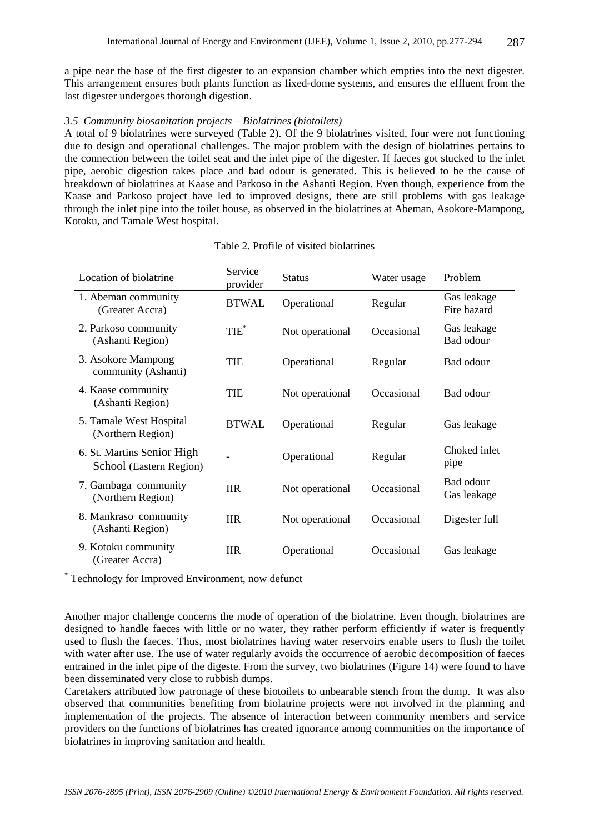a pipe near the base of the first digester to an expansion chamber which empties into the next digester. This arrangement ensures both plants function as fixed-dome systems, and ensures the effluent from the last digester undergoes thorough digestion.

#### *3.5 Community biosanitation projects – Biolatrines (biotoilets)*

A total of 9 biolatrines were surveyed (Table 2). Of the 9 biolatrines visited, four were not functioning due to design and operational challenges. The major problem with the design of biolatrines pertains to the connection between the toilet seat and the inlet pipe of the digester. If faeces got stucked to the inlet pipe, aerobic digestion takes place and bad odour is generated. This is believed to be the cause of breakdown of biolatrines at Kaase and Parkoso in the Ashanti Region. Even though, experience from the Kaase and Parkoso project have led to improved designs, there are still problems with gas leakage through the inlet pipe into the toilet house, as observed in the biolatrines at Abeman, Asokore-Mampong, Kotoku, and Tamale West hospital.

| Location of biolatrine                                | Service<br>provider | <b>Status</b>   | Water usage | Problem                    |
|-------------------------------------------------------|---------------------|-----------------|-------------|----------------------------|
| 1. Abeman community<br>(Greater Accra)                | <b>BTWAL</b>        | Operational     | Regular     | Gas leakage<br>Fire hazard |
| 2. Parkoso community<br>(Ashanti Region)              | $TIE^*$             | Not operational | Occasional  | Gas leakage<br>Bad odour   |
| 3. Asokore Mampong<br>community (Ashanti)             | <b>TIE</b>          | Operational     | Regular     | Bad odour                  |
| 4. Kaase community<br>(Ashanti Region)                | <b>TIE</b>          | Not operational | Occasional  | Bad odour                  |
| 5. Tamale West Hospital<br>(Northern Region)          | <b>BTWAL</b>        | Operational     | Regular     | Gas leakage                |
| 6. St. Martins Senior High<br>School (Eastern Region) |                     | Operational     | Regular     | Choked inlet<br>pipe       |
| 7. Gambaga community<br>(Northern Region)             | <b>IIR</b>          | Not operational | Occasional  | Bad odour<br>Gas leakage   |
| 8. Mankraso community<br>(Ashanti Region)             | <b>IIR</b>          | Not operational | Occasional  | Digester full              |
| 9. Kotoku community<br>(Greater Accra)                | <b>IIR</b>          | Operational     | Occasional  | Gas leakage                |

#### Table 2. Profile of visited biolatrines

\* Technology for Improved Environment, now defunct

Another major challenge concerns the mode of operation of the biolatrine. Even though, biolatrines are designed to handle faeces with little or no water, they rather perform efficiently if water is frequently used to flush the faeces. Thus, most biolatrines having water reservoirs enable users to flush the toilet with water after use. The use of water regularly avoids the occurrence of aerobic decomposition of faeces entrained in the inlet pipe of the digeste. From the survey, two biolatrines (Figure 14) were found to have been disseminated very close to rubbish dumps.

Caretakers attributed low patronage of these biotoilets to unbearable stench from the dump. It was also observed that communities benefiting from biolatrine projects were not involved in the planning and implementation of the projects. The absence of interaction between community members and service providers on the functions of biolatrines has created ignorance among communities on the importance of biolatrines in improving sanitation and health.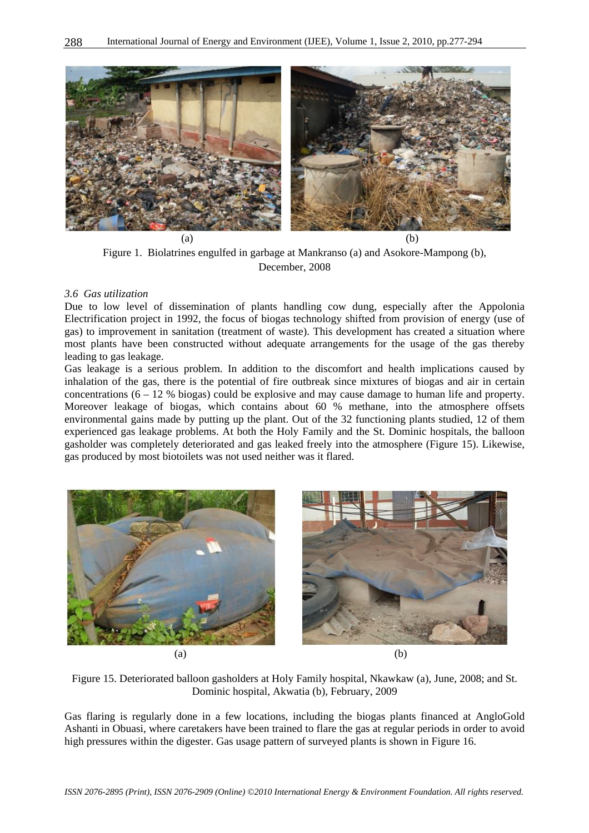

Figure 1. Biolatrines engulfed in garbage at Mankranso (a) and Asokore-Mampong (b), December, 2008

#### *3.6 Gas utilization*

Due to low level of dissemination of plants handling cow dung, especially after the Appolonia Electrification project in 1992, the focus of biogas technology shifted from provision of energy (use of gas) to improvement in sanitation (treatment of waste). This development has created a situation where most plants have been constructed without adequate arrangements for the usage of the gas thereby leading to gas leakage.

Gas leakage is a serious problem. In addition to the discomfort and health implications caused by inhalation of the gas, there is the potential of fire outbreak since mixtures of biogas and air in certain concentrations  $(6 - 12 \%)$  biogas) could be explosive and may cause damage to human life and property. Moreover leakage of biogas, which contains about 60 % methane, into the atmosphere offsets environmental gains made by putting up the plant. Out of the 32 functioning plants studied, 12 of them experienced gas leakage problems. At both the Holy Family and the St. Dominic hospitals, the balloon gasholder was completely deteriorated and gas leaked freely into the atmosphere (Figure 15). Likewise, gas produced by most biotoilets was not used neither was it flared.



Figure 15. Deteriorated balloon gasholders at Holy Family hospital, Nkawkaw (a), June, 2008; and St. Dominic hospital, Akwatia (b), February, 2009

Gas flaring is regularly done in a few locations, including the biogas plants financed at AngloGold Ashanti in Obuasi, where caretakers have been trained to flare the gas at regular periods in order to avoid high pressures within the digester. Gas usage pattern of surveyed plants is shown in Figure 16.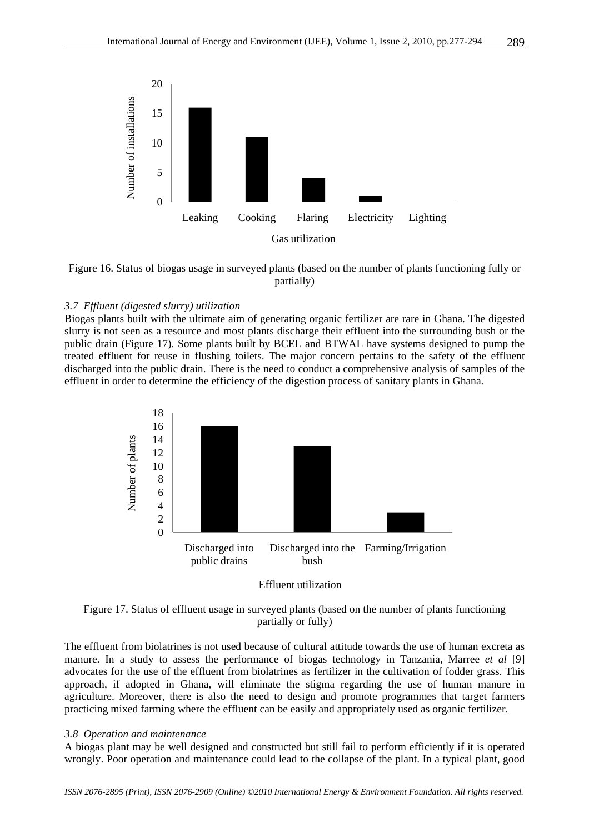



#### *3.7 Effluent (digested slurry) utilization*

Biogas plants built with the ultimate aim of generating organic fertilizer are rare in Ghana. The digested slurry is not seen as a resource and most plants discharge their effluent into the surrounding bush or the public drain (Figure 17). Some plants built by BCEL and BTWAL have systems designed to pump the treated effluent for reuse in flushing toilets. The major concern pertains to the safety of the effluent discharged into the public drain. There is the need to conduct a comprehensive analysis of samples of the effluent in order to determine the efficiency of the digestion process of sanitary plants in Ghana.



Effluent utilization

Figure 17. Status of effluent usage in surveyed plants (based on the number of plants functioning partially or fully)

The effluent from biolatrines is not used because of cultural attitude towards the use of human excreta as manure. In a study to assess the performance of biogas technology in Tanzania, Marree *et al* [9] advocates for the use of the effluent from biolatrines as fertilizer in the cultivation of fodder grass. This approach, if adopted in Ghana, will eliminate the stigma regarding the use of human manure in agriculture. Moreover, there is also the need to design and promote programmes that target farmers practicing mixed farming where the effluent can be easily and appropriately used as organic fertilizer.

#### *3.8 Operation and maintenance*

A biogas plant may be well designed and constructed but still fail to perform efficiently if it is operated wrongly. Poor operation and maintenance could lead to the collapse of the plant. In a typical plant, good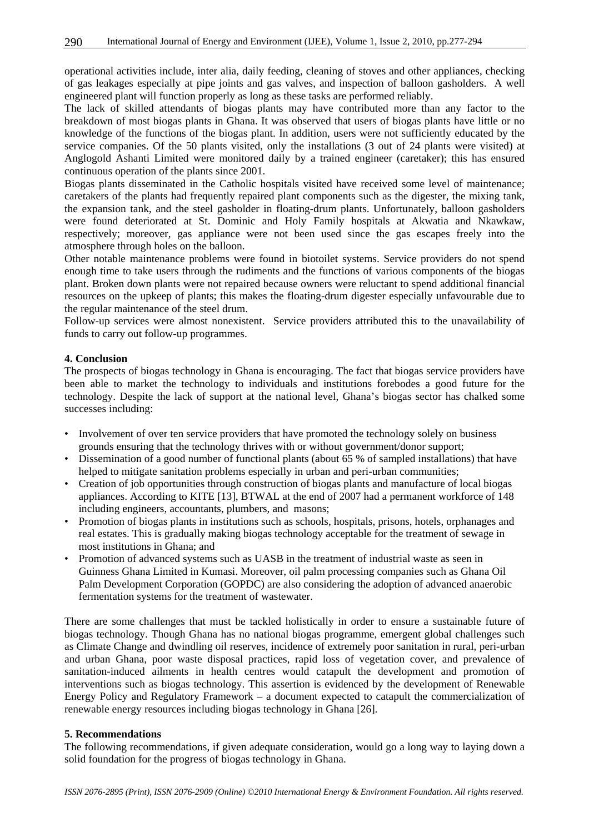operational activities include, inter alia, daily feeding, cleaning of stoves and other appliances, checking of gas leakages especially at pipe joints and gas valves, and inspection of balloon gasholders. A well engineered plant will function properly as long as these tasks are performed reliably.

The lack of skilled attendants of biogas plants may have contributed more than any factor to the breakdown of most biogas plants in Ghana. It was observed that users of biogas plants have little or no knowledge of the functions of the biogas plant. In addition, users were not sufficiently educated by the service companies. Of the 50 plants visited, only the installations (3 out of 24 plants were visited) at Anglogold Ashanti Limited were monitored daily by a trained engineer (caretaker); this has ensured continuous operation of the plants since 2001.

Biogas plants disseminated in the Catholic hospitals visited have received some level of maintenance; caretakers of the plants had frequently repaired plant components such as the digester, the mixing tank, the expansion tank, and the steel gasholder in floating-drum plants. Unfortunately, balloon gasholders were found deteriorated at St. Dominic and Holy Family hospitals at Akwatia and Nkawkaw, respectively; moreover, gas appliance were not been used since the gas escapes freely into the atmosphere through holes on the balloon.

Other notable maintenance problems were found in biotoilet systems. Service providers do not spend enough time to take users through the rudiments and the functions of various components of the biogas plant. Broken down plants were not repaired because owners were reluctant to spend additional financial resources on the upkeep of plants; this makes the floating-drum digester especially unfavourable due to the regular maintenance of the steel drum.

Follow-up services were almost nonexistent. Service providers attributed this to the unavailability of funds to carry out follow-up programmes.

#### **4. Conclusion**

The prospects of biogas technology in Ghana is encouraging. The fact that biogas service providers have been able to market the technology to individuals and institutions forebodes a good future for the technology. Despite the lack of support at the national level, Ghana's biogas sector has chalked some successes including:

- Involvement of over ten service providers that have promoted the technology solely on business grounds ensuring that the technology thrives with or without government/donor support;
- Dissemination of a good number of functional plants (about 65 % of sampled installations) that have helped to mitigate sanitation problems especially in urban and peri-urban communities;
- Creation of job opportunities through construction of biogas plants and manufacture of local biogas appliances. According to KITE [13], BTWAL at the end of 2007 had a permanent workforce of 148 including engineers, accountants, plumbers, and masons;
- Promotion of biogas plants in institutions such as schools, hospitals, prisons, hotels, orphanages and real estates. This is gradually making biogas technology acceptable for the treatment of sewage in most institutions in Ghana; and
- Promotion of advanced systems such as UASB in the treatment of industrial waste as seen in Guinness Ghana Limited in Kumasi. Moreover, oil palm processing companies such as Ghana Oil Palm Development Corporation (GOPDC) are also considering the adoption of advanced anaerobic fermentation systems for the treatment of wastewater.

There are some challenges that must be tackled holistically in order to ensure a sustainable future of biogas technology. Though Ghana has no national biogas programme, emergent global challenges such as Climate Change and dwindling oil reserves, incidence of extremely poor sanitation in rural, peri-urban and urban Ghana, poor waste disposal practices, rapid loss of vegetation cover, and prevalence of sanitation-induced ailments in health centres would catapult the development and promotion of interventions such as biogas technology. This assertion is evidenced by the development of Renewable Energy Policy and Regulatory Framework – a document expected to catapult the commercialization of renewable energy resources including biogas technology in Ghana [26].

#### **5. Recommendations**

The following recommendations, if given adequate consideration, would go a long way to laying down a solid foundation for the progress of biogas technology in Ghana.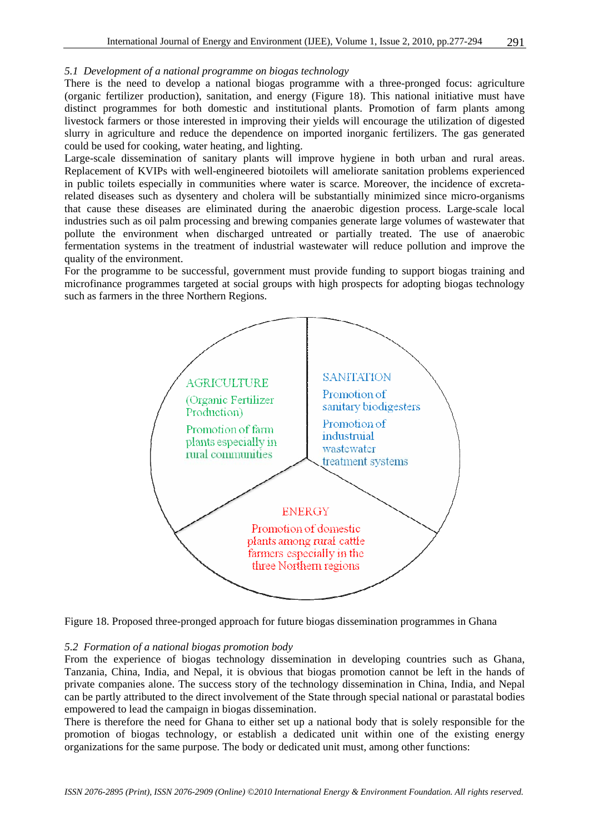#### *5.1 Development of a national programme on biogas technology*

There is the need to develop a national biogas programme with a three-pronged focus: agriculture (organic fertilizer production), sanitation, and energy (Figure 18). This national initiative must have distinct programmes for both domestic and institutional plants. Promotion of farm plants among livestock farmers or those interested in improving their yields will encourage the utilization of digested slurry in agriculture and reduce the dependence on imported inorganic fertilizers. The gas generated could be used for cooking, water heating, and lighting.

Large-scale dissemination of sanitary plants will improve hygiene in both urban and rural areas. Replacement of KVIPs with well-engineered biotoilets will ameliorate sanitation problems experienced in public toilets especially in communities where water is scarce. Moreover, the incidence of excretarelated diseases such as dysentery and cholera will be substantially minimized since micro-organisms that cause these diseases are eliminated during the anaerobic digestion process. Large-scale local industries such as oil palm processing and brewing companies generate large volumes of wastewater that pollute the environment when discharged untreated or partially treated. The use of anaerobic fermentation systems in the treatment of industrial wastewater will reduce pollution and improve the quality of the environment.

For the programme to be successful, government must provide funding to support biogas training and microfinance programmes targeted at social groups with high prospects for adopting biogas technology such as farmers in the three Northern Regions.



Figure 18. Proposed three-pronged approach for future biogas dissemination programmes in Ghana

#### *5.2 Formation of a national biogas promotion body*

From the experience of biogas technology dissemination in developing countries such as Ghana, Tanzania, China, India, and Nepal, it is obvious that biogas promotion cannot be left in the hands of private companies alone. The success story of the technology dissemination in China, India, and Nepal can be partly attributed to the direct involvement of the State through special national or parastatal bodies empowered to lead the campaign in biogas dissemination.

There is therefore the need for Ghana to either set up a national body that is solely responsible for the promotion of biogas technology, or establish a dedicated unit within one of the existing energy organizations for the same purpose. The body or dedicated unit must, among other functions: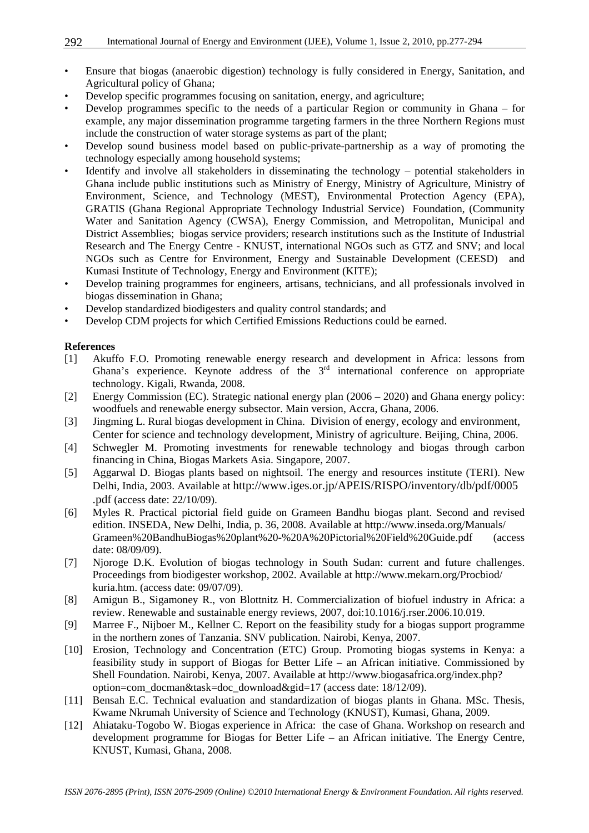- Ensure that biogas (anaerobic digestion) technology is fully considered in Energy, Sanitation, and Agricultural policy of Ghana;
- Develop specific programmes focusing on sanitation, energy, and agriculture;
- Develop programmes specific to the needs of a particular Region or community in Ghana for example, any major dissemination programme targeting farmers in the three Northern Regions must include the construction of water storage systems as part of the plant;
- Develop sound business model based on public-private-partnership as a way of promoting the technology especially among household systems;
- Identify and involve all stakeholders in disseminating the technology potential stakeholders in Ghana include public institutions such as Ministry of Energy, Ministry of Agriculture, Ministry of Environment, Science, and Technology (MEST), Environmental Protection Agency (EPA), GRATIS (Ghana Regional Appropriate Technology Industrial Service) Foundation, (Community Water and Sanitation Agency (CWSA), Energy Commission, and Metropolitan, Municipal and District Assemblies; biogas service providers; research institutions such as the Institute of Industrial Research and The Energy Centre - KNUST, international NGOs such as GTZ and SNV; and local NGOs such as Centre for Environment, Energy and Sustainable Development (CEESD) and Kumasi Institute of Technology, Energy and Environment (KITE);
- Develop training programmes for engineers, artisans, technicians, and all professionals involved in biogas dissemination in Ghana;
- Develop standardized biodigesters and quality control standards; and
- Develop CDM projects for which Certified Emissions Reductions could be earned.

#### **References**

- [1] Akuffo F.O. Promoting renewable energy research and development in Africa: lessons from Ghana's experience. Keynote address of the  $3<sup>rd</sup>$  international conference on appropriate technology. Kigali, Rwanda, 2008.
- [2] Energy Commission (EC). Strategic national energy plan (2006 2020) and Ghana energy policy: woodfuels and renewable energy subsector. Main version, Accra, Ghana, 2006.
- [3] Jingming L. Rural biogas development in China. Division of energy, ecology and environment, Center for science and technology development, Ministry of agriculture. Beijing, China, 2006.
- [4] Schwegler M. Promoting investments for renewable technology and biogas through carbon financing in China, Biogas Markets Asia. Singapore, 2007.
- [5] Aggarwal D. Biogas plants based on nightsoil. The energy and resources institute (TERI). New Delhi, India, 2003. Available at http://www.iges.or.jp/APEIS/RISPO/inventory/db/pdf/0005 .pdf (access date: 22/10/09).
- [6] Myles R. Practical pictorial field guide on Grameen Bandhu biogas plant. Second and revised edition. INSEDA, New Delhi, India, p. 36, 2008. Available at http://www.inseda.org/Manuals/ Grameen%20BandhuBiogas%20plant%20-%20A%20Pictorial%20Field%20Guide.pdf (access date: 08/09/09).
- [7] Njoroge D.K. Evolution of biogas technology in South Sudan: current and future challenges. Proceedings from biodigester workshop, 2002. Available at http://www.mekarn.org/Procbiod/ kuria.htm. (access date: 09/07/09).
- [8] Amigun B., Sigamoney R., von Blottnitz H. Commercialization of biofuel industry in Africa: a review. Renewable and sustainable energy reviews, 2007, doi:10.1016/j.rser.2006.10.019.
- [9] Marree F., Nijboer M., Kellner C. Report on the feasibility study for a biogas support programme in the northern zones of Tanzania. SNV publication. Nairobi, Kenya, 2007.
- [10] Erosion, Technology and Concentration (ETC) Group. Promoting biogas systems in Kenya: a feasibility study in support of Biogas for Better Life – an African initiative. Commissioned by Shell Foundation. Nairobi, Kenya, 2007. Available at http://www.biogasafrica.org/index.php? option=com\_docman&task=doc\_download&gid=17 (access date: 18/12/09).
- [11] Bensah E.C. Technical evaluation and standardization of biogas plants in Ghana. MSc. Thesis, Kwame Nkrumah University of Science and Technology (KNUST), Kumasi, Ghana, 2009.
- [12] Ahiataku-Togobo W. Biogas experience in Africa: the case of Ghana. Workshop on research and development programme for Biogas for Better Life – an African initiative. The Energy Centre, KNUST, Kumasi, Ghana, 2008.